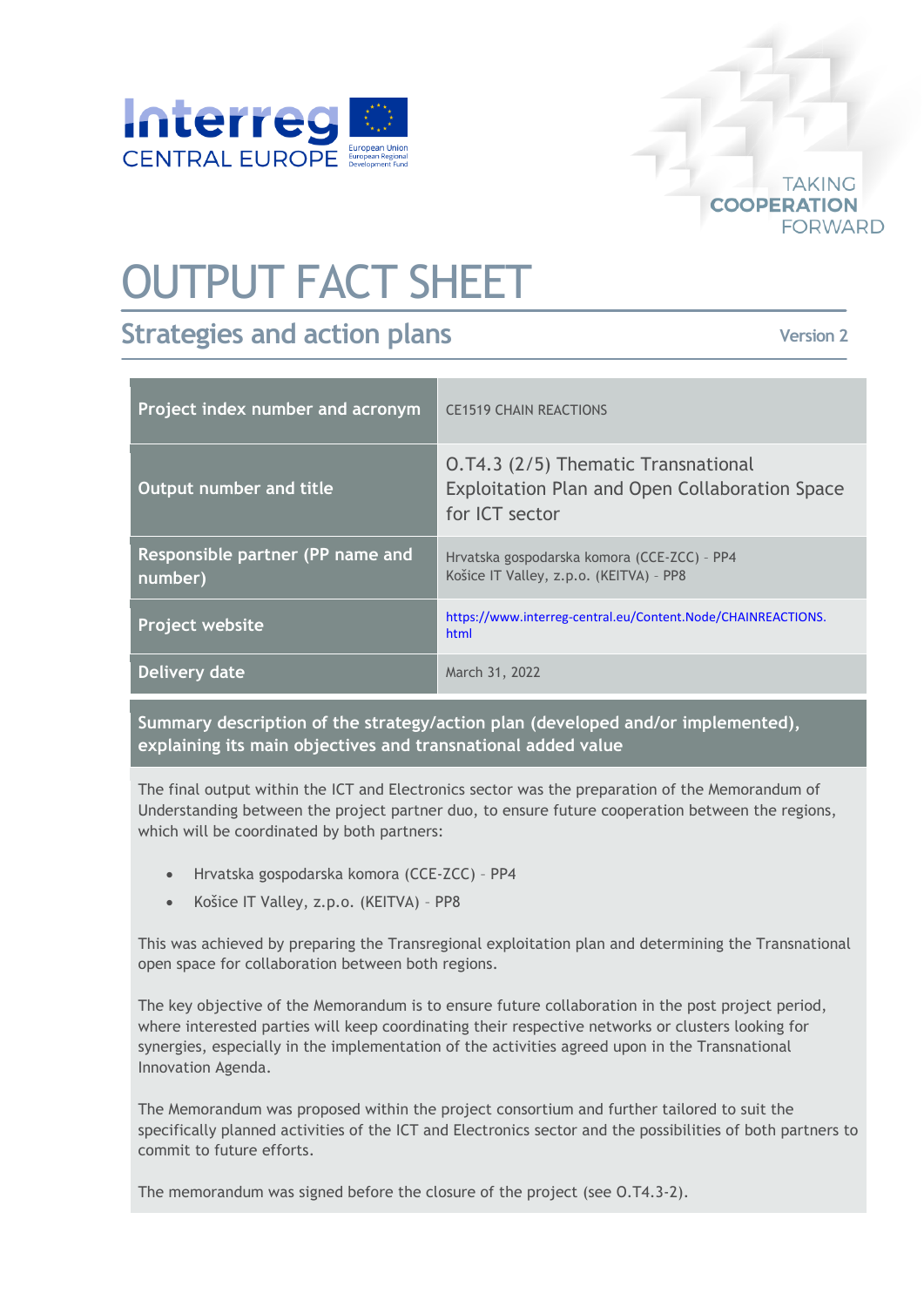

## OUTPUT FACT SHEET

## **Strategies and action plans**

**Version 2**

**TAKING** 

**FORWARD** 

**COOPERATION** 

| Project index number and acronym            | <b>CE1519 CHAIN REACTIONS</b>                                                                           |
|---------------------------------------------|---------------------------------------------------------------------------------------------------------|
| Output number and title                     | O.T4.3 (2/5) Thematic Transnational<br>Exploitation Plan and Open Collaboration Space<br>for ICT sector |
| Responsible partner (PP name and<br>number) | Hrvatska gospodarska komora (CCE-ZCC) - PP4<br>Košice IT Valley, z.p.o. (KEITVA) - PP8                  |
| Project website                             | https://www.interreg-central.eu/Content.Node/CHAINREACTIONS.<br>html                                    |
| Delivery date                               | March 31, 2022                                                                                          |

**Summary description of the strategy/action plan (developed and/or implemented), explaining its main objectives and transnational added value**

The final output within the ICT and Electronics sector was the preparation of the Memorandum of Understanding between the project partner duo, to ensure future cooperation between the regions, which will be coordinated by both partners:

- Hrvatska gospodarska komora (CCE-ZCC) PP4
- Košice IT Valley, z.p.o. (KEITVA) PP8

This was achieved by preparing the Transregional exploitation plan and determining the Transnational open space for collaboration between both regions.

The key objective of the Memorandum is to ensure future collaboration in the post project period, where interested parties will keep coordinating their respective networks or clusters looking for synergies, especially in the implementation of the activities agreed upon in the Transnational Innovation Agenda.

The Memorandum was proposed within the project consortium and further tailored to suit the specifically planned activities of the ICT and Electronics sector and the possibilities of both partners to commit to future efforts.

The memorandum was signed before the closure of the project (see O.T4.3-2).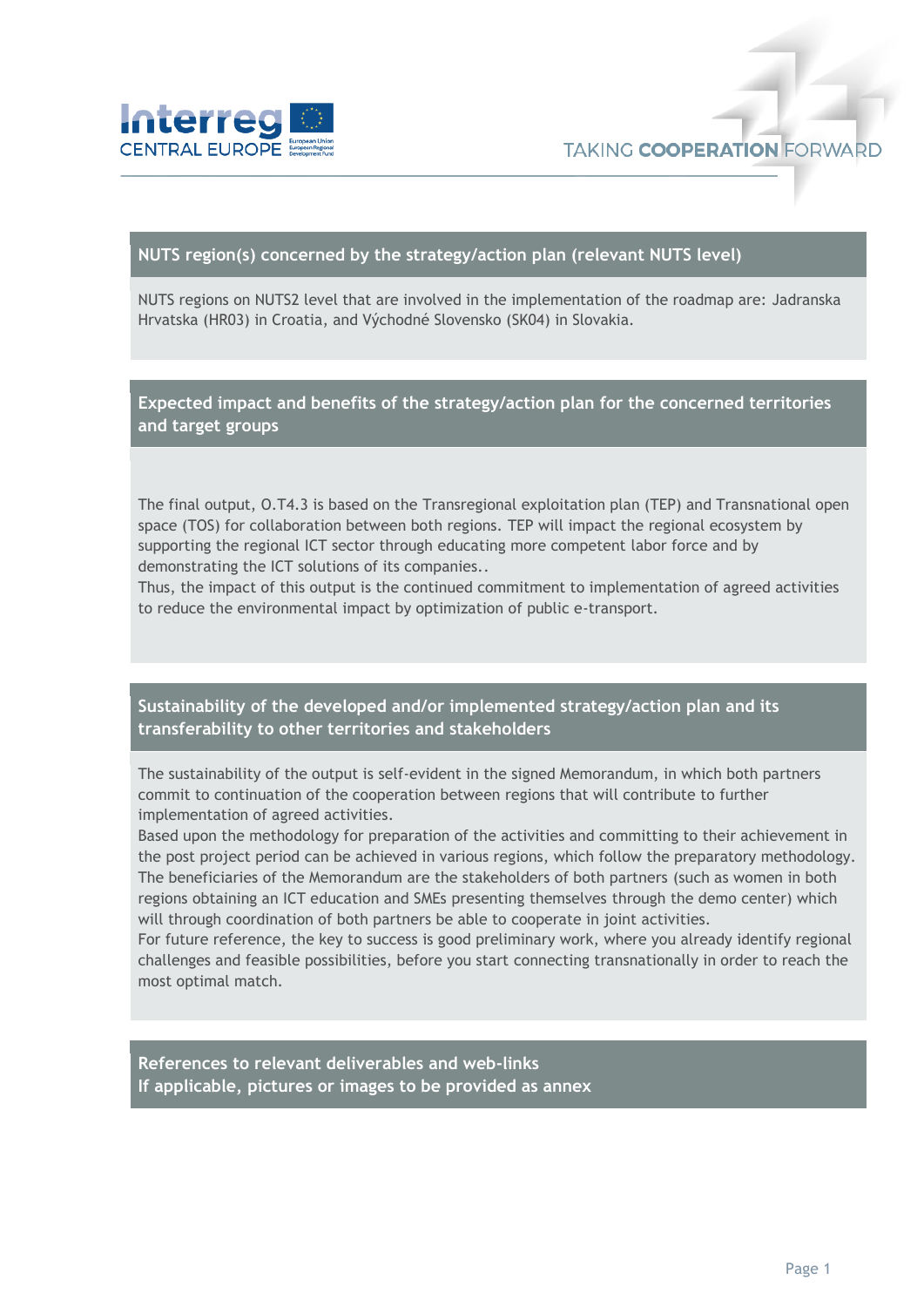

## **NUTS region(s) concerned by the strategy/action plan (relevant NUTS level)**

NUTS regions on NUTS2 level that are involved in the implementation of the roadmap are: Jadranska Hrvatska (HR03) in Croatia, and Východné Slovensko (SK04) in Slovakia.

**Expected impact and benefits of the strategy/action plan for the concerned territories and target groups**

The final output, O.T4.3 is based on the Transregional exploitation plan (TEP) and Transnational open space (TOS) for collaboration between both regions. TEP will impact the regional ecosystem by supporting the regional ICT sector through educating more competent labor force and by demonstrating the ICT solutions of its companies..

Thus, the impact of this output is the continued commitment to implementation of agreed activities to reduce the environmental impact by optimization of public e-transport.

**Sustainability of the developed and/or implemented strategy/action plan and its transferability to other territories and stakeholders**

The sustainability of the output is self-evident in the signed Memorandum, in which both partners commit to continuation of the cooperation between regions that will contribute to further implementation of agreed activities.

Based upon the methodology for preparation of the activities and committing to their achievement in the post project period can be achieved in various regions, which follow the preparatory methodology. The beneficiaries of the Memorandum are the stakeholders of both partners (such as women in both regions obtaining an ICT education and SMEs presenting themselves through the demo center) which will through coordination of both partners be able to cooperate in joint activities.

For future reference, the key to success is good preliminary work, where you already identify regional challenges and feasible possibilities, before you start connecting transnationally in order to reach the most optimal match.

**References to relevant deliverables and web-links If applicable, pictures or images to be provided as annex**